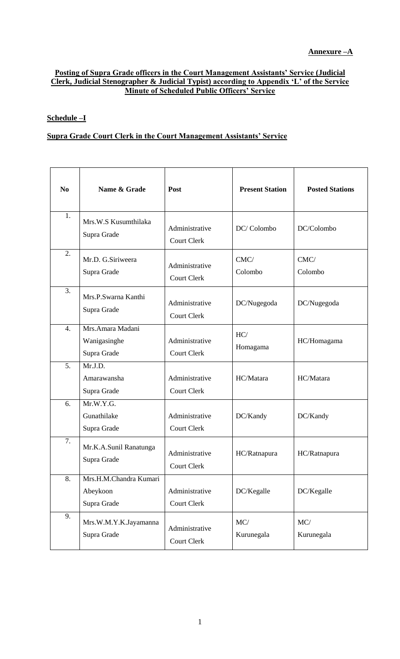#### **Posting of Supra Grade officers in the Court Management Assistants' Service (Judicial Clerk, Judicial Stenographer & Judicial Typist) according to Appendix 'L' of the Service Minute of Scheduled Public Officers' Service**

### **Schedule –I**

#### **Supra Grade Court Clerk in the Court Management Assistants' Service**

| N <sub>0</sub> | Name & Grade                                      | Post                                 | <b>Present Station</b> | <b>Posted Stations</b> |
|----------------|---------------------------------------------------|--------------------------------------|------------------------|------------------------|
| 1.             | Mrs.W.S Kusumthilaka<br>Supra Grade               | Administrative<br><b>Court Clerk</b> | DC/Colombo             | DC/Colombo             |
| 2.             | Mr.D. G.Siriweera<br>Supra Grade                  | Administrative<br><b>Court Clerk</b> | CMC/<br>Colombo        | CMC/<br>Colombo        |
| 3.             | Mrs.P.Swarna Kanthi<br>Supra Grade                | Administrative<br><b>Court Clerk</b> | DC/Nugegoda            | DC/Nugegoda            |
| 4.             | Mrs.Amara Madani<br>Wanigasinghe<br>Supra Grade   | Administrative<br><b>Court Clerk</b> | HC/<br>Homagama        | HC/Homagama            |
| 5.             | Mr.J.D.<br>Amarawansha<br>Supra Grade             | Administrative<br><b>Court Clerk</b> | HC/Matara              | HC/Matara              |
| 6.             | Mr.W.Y.G.<br>Gunathilake<br>Supra Grade           | Administrative<br><b>Court Clerk</b> | DC/Kandy               | DC/Kandy               |
| 7.             | Mr.K.A.Sunil Ranatunga<br>Supra Grade             | Administrative<br>Court Clerk        | HC/Ratnapura           | HC/Ratnapura           |
| 8.             | Mrs.H.M.Chandra Kumari<br>Abeykoon<br>Supra Grade | Administrative<br>Court Clerk        | DC/Kegalle             | DC/Kegalle             |
| 9.             | Mrs.W.M.Y.K.Jayamanna<br>Supra Grade              | Administrative<br>Court Clerk        | MC/<br>Kurunegala      | MC/<br>Kurunegala      |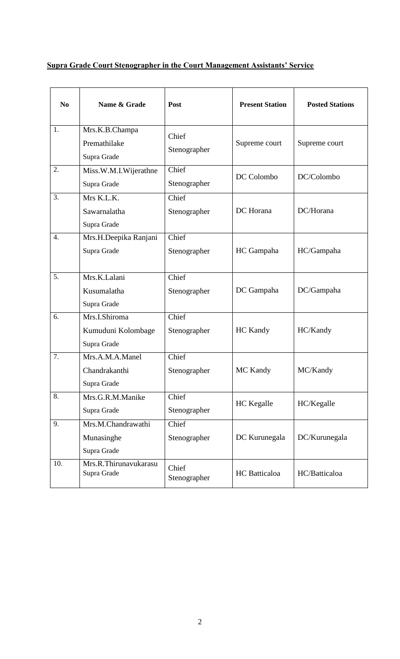# **Supra Grade Court Stenographer in the Court Management Assistants' Service**

| N <sub>0</sub>   | Name & Grade                                       | Post                  | <b>Present Station</b> | <b>Posted Stations</b> |
|------------------|----------------------------------------------------|-----------------------|------------------------|------------------------|
| 1.               | Mrs.K.B.Champa<br>Premathilake<br>Supra Grade      | Chief<br>Stenographer | Supreme court          | Supreme court          |
| 2.               | Miss.W.M.I.Wijerathne<br>Supra Grade               | Chief<br>Stenographer | DC Colombo             | DC/Colombo             |
| 3.               | Mrs K.L.K.<br>Sawarnalatha<br>Supra Grade          | Chief<br>Stenographer | DC Horana              | DC/Horana              |
| $\overline{4}$ . | Mrs.H.Deepika Ranjani<br>Supra Grade               | Chief<br>Stenographer | HC Gampaha             | HC/Gampaha             |
| 5.               | Mrs.K.Lalani<br>Kusumalatha<br>Supra Grade         | Chief<br>Stenographer | DC Gampaha             | DC/Gampaha             |
| 6.               | Mrs.I.Shiroma<br>Kumuduni Kolombage<br>Supra Grade | Chief<br>Stenographer | <b>HC Kandy</b>        | HC/Kandy               |
| 7.               | Mrs.A.M.A.Manel<br>Chandrakanthi<br>Supra Grade    | Chief<br>Stenographer | MC Kandy               | MC/Kandy               |
| 8.               | Mrs.G.R.M.Manike<br>Supra Grade                    | Chief<br>Stenographer | <b>HC</b> Kegalle      | HC/Kegalle             |
| 9.               | Mrs.M.Chandrawathi<br>Munasinghe<br>Supra Grade    | Chief<br>Stenographer | DC Kurunegala          | DC/Kurunegala          |
| 10.              | Mrs.R.Thirunavukarasu<br>Supra Grade               | Chief<br>Stenographer | <b>HC</b> Batticaloa   | HC/Batticaloa          |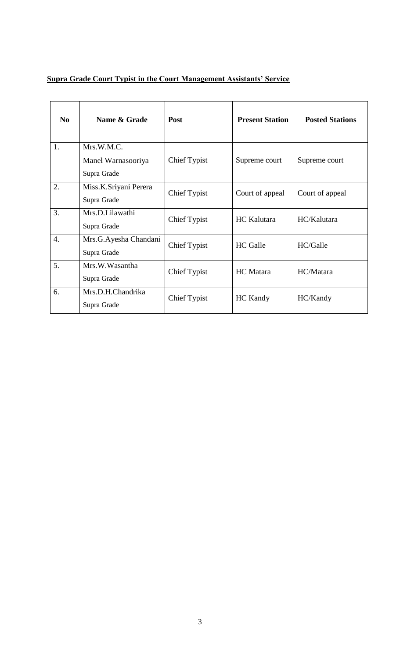# **Supra Grade Court Typist in the Court Management Assistants' Service**

| N <sub>0</sub>   | Name & Grade                                    | Post                | <b>Present Station</b> | <b>Posted Stations</b> |
|------------------|-------------------------------------------------|---------------------|------------------------|------------------------|
| 1.               | Mrs.W.M.C.<br>Manel Warnasooriya<br>Supra Grade | <b>Chief Typist</b> | Supreme court          | Supreme court          |
| 2.               | Miss.K.Sriyani Perera<br>Supra Grade            | <b>Chief Typist</b> | Court of appeal        | Court of appeal        |
| 3.               | Mrs.D.Lilawathi<br>Supra Grade                  | <b>Chief Typist</b> | <b>HC</b> Kalutara     | HC/Kalutara            |
| $\overline{4}$ . | Mrs.G.Ayesha Chandani<br>Supra Grade            | <b>Chief Typist</b> | <b>HC</b> Galle        | HC/Galle               |
| 5.               | Mrs.W.Wasantha<br>Supra Grade                   | <b>Chief Typist</b> | HC Matara              | HC/Matara              |
| 6.               | Mrs.D.H.Chandrika<br>Supra Grade                | <b>Chief Typist</b> | <b>HC</b> Kandy        | HC/Kandy               |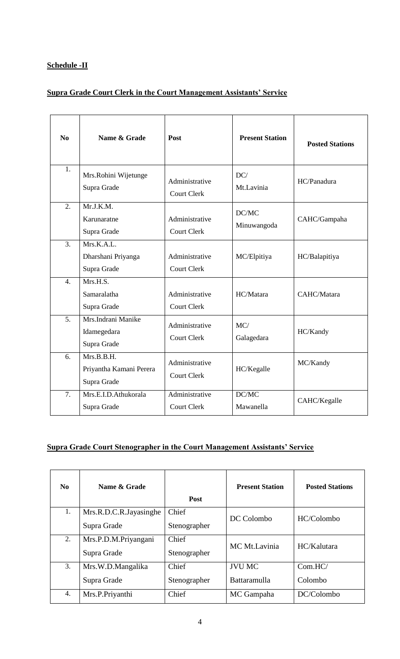### **Schedule -II**

## **Supra Grade Court Clerk in the Court Management Assistants' Service**

| No               | Name & Grade                                         | Post                                 | <b>Present Station</b> | <b>Posted Stations</b> |
|------------------|------------------------------------------------------|--------------------------------------|------------------------|------------------------|
| 1.               | Mrs.Rohini Wijetunge<br>Supra Grade                  | Administrative<br><b>Court Clerk</b> | DC/<br>Mt.Lavinia      | HC/Panadura            |
| 2.               | Mr.J.K.M.<br>Karunaratne<br>Supra Grade              | Administrative<br><b>Court Clerk</b> | DC/MC<br>Minuwangoda   | CAHC/Gampaha           |
| $\overline{3}$ . | Mrs.K.A.L.<br>Dharshani Priyanga<br>Supra Grade      | Administrative<br><b>Court Clerk</b> | MC/Elpitiya            | HC/Balapitiya          |
| $\overline{4}$ . | Mrs.H.S.<br>Samaralatha<br>Supra Grade               | Administrative<br><b>Court Clerk</b> | HC/Matara              | CAHC/Matara            |
| 5 <sub>1</sub>   | Mrs. Indrani Manike<br>Idamegedara<br>Supra Grade    | Administrative<br><b>Court Clerk</b> | MC/<br>Galagedara      | HC/Kandy               |
| 6.               | Mrs.B.B.H.<br>Priyantha Kamani Perera<br>Supra Grade | Administrative<br><b>Court Clerk</b> | HC/Kegalle             | MC/Kandy               |
| 7.               | Mrs.E.I.D.Athukorala<br>Supra Grade                  | Administrative<br><b>Court Clerk</b> | DC/MC<br>Mawanella     | CAHC/Kegalle           |

### **Supra Grade Court Stenographer in the Court Management Assistants' Service**

| N <sub>0</sub> | Name & Grade           | <b>Post</b>  | <b>Present Station</b> | <b>Posted Stations</b> |
|----------------|------------------------|--------------|------------------------|------------------------|
| 1.             | Mrs.R.D.C.R.Jayasinghe | Chief        | DC Colombo             | HC/Colombo             |
|                | Supra Grade            | Stenographer |                        |                        |
| 2.             | Mrs.P.D.M.Priyangani   | Chief        | MC Mt.Lavinia          | HC/Kalutara            |
|                | Supra Grade            | Stenographer |                        |                        |
| 3.             | Mrs.W.D.Mangalika      | Chief        | <b>JVU MC</b>          | Com.HC/                |
|                | Supra Grade            | Stenographer | Battaramulla           | Colombo                |
| 4.             | Mrs.P.Priyanthi        | Chief        | MC Gampaha             | DC/Colombo             |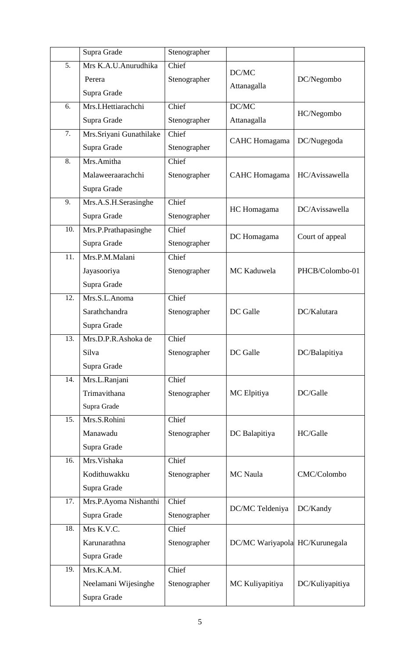|     | Supra Grade             | Stenographer |                                |                 |
|-----|-------------------------|--------------|--------------------------------|-----------------|
| 5.  | Mrs K.A.U.Anurudhika    | Chief        | DC/MC                          |                 |
|     | Perera                  | Stenographer | Attanagalla                    | DC/Negombo      |
|     | Supra Grade             |              |                                |                 |
| 6.  | Mrs.I.Hettiarachchi     | Chief        | DC/MC                          | HC/Negombo      |
|     | Supra Grade             | Stenographer | Attanagalla                    |                 |
| 7.  | Mrs.Sriyani Gunathilake | Chief        | <b>CAHC</b> Homagama           | DC/Nugegoda     |
|     | Supra Grade             | Stenographer |                                |                 |
| 8.  | Mrs.Amitha              | Chief        |                                |                 |
|     | Malaweeraarachchi       | Stenographer | <b>CAHC</b> Homagama           | HC/Avissawella  |
|     | Supra Grade             |              |                                |                 |
| 9.  | Mrs.A.S.H.Serasinghe    | Chief        | HC Homagama                    | DC/Avissawella  |
|     | Supra Grade             | Stenographer |                                |                 |
| 10. | Mrs.P.Prathapasinghe    | Chief        | DC Homagama                    | Court of appeal |
|     | Supra Grade             | Stenographer |                                |                 |
| 11. | Mrs.P.M.Malani          | Chief        |                                |                 |
|     | Jayasooriya             | Stenographer | MC Kaduwela                    | PHCB/Colombo-01 |
|     | Supra Grade             |              |                                |                 |
| 12. | Mrs.S.L.Anoma           | Chief        |                                |                 |
|     | Sarathchandra           | Stenographer | DC Galle                       | DC/Kalutara     |
|     | Supra Grade             |              |                                |                 |
| 13. | Mrs.D.P.R.Ashoka de     | Chief        |                                |                 |
|     | Silva                   | Stenographer | DC Galle                       | DC/Balapitiya   |
|     | Supra Grade             |              |                                |                 |
| 14. | Mrs.L.Ranjani           | Chief        |                                |                 |
|     | Trimavithana            | Stenographer | MC Elpitiya                    | DC/Galle        |
|     | Supra Grade             |              |                                |                 |
| 15. | Mrs.S.Rohini            | Chief        |                                |                 |
|     | Manawadu                | Stenographer | DC Balapitiya                  | HC/Galle        |
|     | Supra Grade             |              |                                |                 |
| 16. | Mrs. Vishaka            | Chief        |                                |                 |
|     | Kodithuwakku            | Stenographer | <b>MC</b> Naula                | CMC/Colombo     |
|     | Supra Grade             |              |                                |                 |
| 17. | Mrs.P.Ayoma Nishanthi   | Chief        | DC/MC Teldeniya                | DC/Kandy        |
|     | Supra Grade             | Stenographer |                                |                 |
| 18. | Mrs K.V.C.              | Chief        |                                |                 |
|     | Karunarathna            | Stenographer | DC/MC Wariyapola HC/Kurunegala |                 |
|     | Supra Grade             |              |                                |                 |
| 19. | Mrs.K.A.M.              | Chief        |                                |                 |
|     | Neelamani Wijesinghe    | Stenographer | MC Kuliyapitiya                | DC/Kuliyapitiya |
|     | Supra Grade             |              |                                |                 |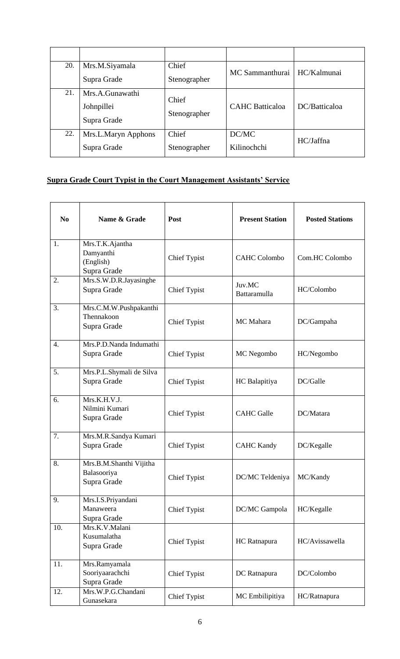| 20. | Mrs.M.Siyamala<br>Supra Grade                | Chief<br>Stenographer | MC Sammanthurai        | HC/Kalmunai   |
|-----|----------------------------------------------|-----------------------|------------------------|---------------|
| 21. | Mrs.A.Gunawathi<br>Johnpillei<br>Supra Grade | Chief<br>Stenographer | <b>CAHC</b> Batticaloa | DC/Batticaloa |
| 22. | Mrs.L.Maryn Apphons<br>Supra Grade           | Chief<br>Stenographer | DC/MC<br>Kilinochchi   | HC/Jaffna     |

## **Supra Grade Court Typist in the Court Management Assistants' Service**

| N <sub>0</sub> | Name & Grade                                             | Post                | <b>Present Station</b> | <b>Posted Stations</b> |
|----------------|----------------------------------------------------------|---------------------|------------------------|------------------------|
| 1.             | Mrs.T.K.Ajantha<br>Damyanthi<br>(English)<br>Supra Grade | <b>Chief Typist</b> | <b>CAHC Colombo</b>    | Com.HC Colombo         |
| 2.             | Mrs.S.W.D.R.Jayasinghe<br>Supra Grade                    | <b>Chief Typist</b> | Juv.MC<br>Battaramulla | HC/Colombo             |
| 3.             | Mrs.C.M.W.Pushpakanthi<br>Thennakoon<br>Supra Grade      | <b>Chief Typist</b> | MC Mahara              | DC/Gampaha             |
| 4.             | Mrs.P.D.Nanda Indumathi<br>Supra Grade                   | <b>Chief Typist</b> | MC Negombo             | HC/Negombo             |
| 5.             | Mrs.P.L.Shymali de Silva<br>Supra Grade                  | <b>Chief Typist</b> | HC Balapitiya          | DC/Galle               |
| 6.             | Mrs.K.H.V.J.<br>Nilmini Kumari<br>Supra Grade            | <b>Chief Typist</b> | <b>CAHC</b> Galle      | DC/Matara              |
| 7.             | Mrs.M.R.Sandya Kumari<br>Supra Grade                     | <b>Chief Typist</b> | <b>CAHC Kandy</b>      | DC/Kegalle             |
| 8.             | Mrs.B.M.Shanthi Vijitha<br>Balasooriya<br>Supra Grade    | <b>Chief Typist</b> | DC/MC Teldeniya        | MC/Kandy               |
| 9.             | Mrs.I.S.Priyandani<br>Manaweera<br>Supra Grade           | Chief Typist        | DC/MC Gampola          | HC/Kegalle             |
| 10.            | Mrs.K.V.Malani<br>Kusumalatha<br>Supra Grade             | <b>Chief Typist</b> | HC Ratnapura           | HC/Avissawella         |
| 11.            | Mrs.Ramyamala<br>Sooriyaarachchi<br>Supra Grade          | <b>Chief Typist</b> | DC Ratnapura           | DC/Colombo             |
| 12.            | Mrs.W.P.G.Chandani<br>Gunasekara                         | <b>Chief Typist</b> | MC Embilipitiya        | HC/Ratnapura           |